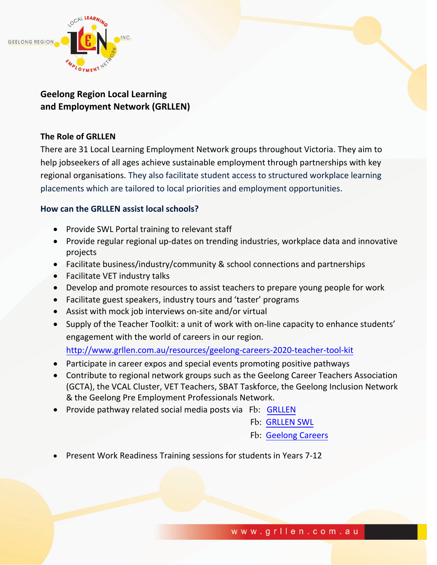

## **Geelong Region Local Learning and Employment Network (GRLLEN)**

## **The Role of GRLLEN**

There are 31 Local Learning Employment Network groups throughout Victoria. They aim to help jobseekers of all ages achieve sustainable employment through partnerships with key regional organisations. They also facilitate student access to structured workplace learning placements which are tailored to local priorities and employment opportunities.

## **How can the GRLLEN assist local schools?**

- Provide SWL Portal training to relevant staff
- Provide regular regional up-dates on trending industries, workplace data and innovative projects
- Facilitate business/industry/community & school connections and partnerships
- Facilitate VET industry talks
- Develop and promote resources to assist teachers to prepare young people for work
- Facilitate guest speakers, industry tours and 'taster' programs
- Assist with mock job interviews on-site and/or virtual
- Supply of the Teacher Toolkit: a unit of work with on-line capacity to enhance students' engagement with the world of careers in our region. <http://www.grllen.com.au/resources/geelong-careers-2020-teacher-tool-kit>
- Participate in career expos and special events promoting positive pathways
- Contribute to regional network groups such as the Geelong Career Teachers Association (GCTA), the VCAL Cluster, VET Teachers, SBAT Taskforce, the Geelong Inclusion Network & the Geelong Pre Employment Professionals Network.
- Provide pathway related social media posts via Fb[: GRLLEN](https://www.facebook.com/GRLLEN)
	- Fb: [GRLLEN SWL](https://www.facebook.com/geelongSWL)
	- Fb: [Geelong Careers](https://www.facebook.com/geelongcareers)
- Present Work Readiness Training sessions for students in Years 7-12